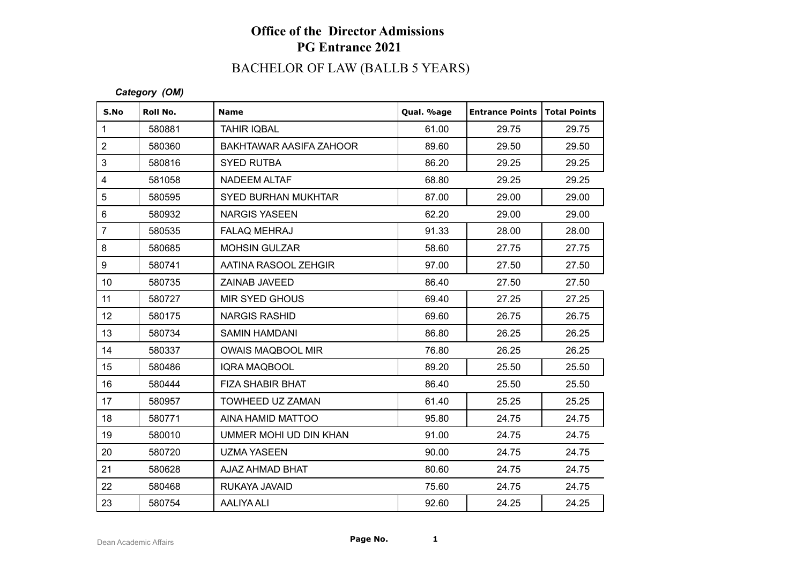# BACHELOR OF LAW (BALLB 5 YEARS)

| S.No             | Roll No. | <b>Name</b>                | Qual. %age | <b>Entrance Points</b> | <b>Total Points</b> |
|------------------|----------|----------------------------|------------|------------------------|---------------------|
| $\mathbf{1}$     | 580881   | <b>TAHIR IQBAL</b>         | 61.00      | 29.75                  | 29.75               |
| $\overline{2}$   | 580360   | BAKHTAWAR AASIFA ZAHOOR    | 89.60      | 29.50                  | 29.50               |
| 3                | 580816   | <b>SYED RUTBA</b>          | 86.20      | 29.25                  | 29.25               |
| 4                | 581058   | NADEEM ALTAF               | 68.80      | 29.25                  | 29.25               |
| 5                | 580595   | <b>SYED BURHAN MUKHTAR</b> | 87.00      | 29.00                  | 29.00               |
| 6                | 580932   | <b>NARGIS YASEEN</b>       | 62.20      | 29.00                  | 29.00               |
| $\overline{7}$   | 580535   | <b>FALAQ MEHRAJ</b>        | 91.33      | 28.00                  | 28.00               |
| 8                | 580685   | <b>MOHSIN GULZAR</b>       | 58.60      | 27.75                  | 27.75               |
| 9                | 580741   | AATINA RASOOL ZEHGIR       | 97.00      | 27.50                  | 27.50               |
| 10 <sup>°</sup>  | 580735   | <b>ZAINAB JAVEED</b>       | 86.40      | 27.50                  | 27.50               |
| 11               | 580727   | <b>MIR SYED GHOUS</b>      | 69.40      | 27.25                  | 27.25               |
| 12 <sub>2</sub>  | 580175   | <b>NARGIS RASHID</b>       | 69.60      | 26.75                  | 26.75               |
| 13               | 580734   | <b>SAMIN HAMDANI</b>       | 86.80      | 26.25                  | 26.25               |
| 14               | 580337   | <b>OWAIS MAQBOOL MIR</b>   | 76.80      | 26.25                  | 26.25               |
| 15 <sub>15</sub> | 580486   | IQRA MAQBOOL               | 89.20      | 25.50                  | 25.50               |
| 16               | 580444   | <b>FIZA SHABIR BHAT</b>    | 86.40      | 25.50                  | 25.50               |
| 17               | 580957   | TOWHEED UZ ZAMAN           | 61.40      | 25.25                  | 25.25               |
| 18               | 580771   | AINA HAMID MATTOO          | 95.80      | 24.75                  | 24.75               |
| 19               | 580010   | UMMER MOHI UD DIN KHAN     | 91.00      | 24.75                  | 24.75               |
| 20               | 580720   | <b>UZMA YASEEN</b>         | 90.00      | 24.75                  | 24.75               |
| 21               | 580628   | AJAZ AHMAD BHAT            | 80.60      | 24.75                  | 24.75               |
| 22               | 580468   | RUKAYA JAVAID              | 75.60      | 24.75                  | 24.75               |
| 23               | 580754   | <b>AALIYA ALI</b>          | 92.60      | 24.25                  | 24.25               |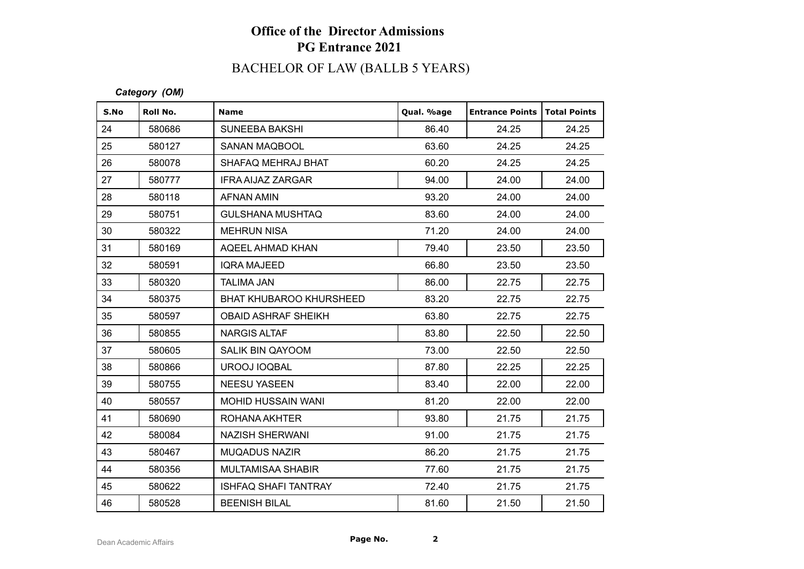# BACHELOR OF LAW (BALLB 5 YEARS)

| S.No | Roll No. | <b>Name</b>                    | Qual. %age | <b>Entrance Points</b> | Total Points |
|------|----------|--------------------------------|------------|------------------------|--------------|
| 24   | 580686   | <b>SUNEEBA BAKSHI</b>          | 86.40      | 24.25                  | 24.25        |
| 25   | 580127   | SANAN MAQBOOL                  | 63.60      | 24.25                  | 24.25        |
| 26   | 580078   | SHAFAQ MEHRAJ BHAT             | 60.20      | 24.25                  | 24.25        |
| 27   | 580777   | <b>IFRA AIJAZ ZARGAR</b>       | 94.00      | 24.00                  | 24.00        |
| 28   | 580118   | AFNAN AMIN                     | 93.20      | 24.00                  | 24.00        |
| 29   | 580751   | GULSHANA MUSHTAQ               | 83.60      | 24.00                  | 24.00        |
| 30   | 580322   | <b>MEHRUN NISA</b>             | 71.20      | 24.00                  | 24.00        |
| 31   | 580169   | AQEEL AHMAD KHAN               | 79.40      | 23.50                  | 23.50        |
| 32   | 580591   | <b>IQRA MAJEED</b>             | 66.80      | 23.50                  | 23.50        |
| 33   | 580320   | <b>TALIMA JAN</b>              | 86.00      | 22.75                  | 22.75        |
| 34   | 580375   | <b>BHAT KHUBAROO KHURSHEED</b> | 83.20      | 22.75                  | 22.75        |
| 35   | 580597   | <b>OBAID ASHRAF SHEIKH</b>     | 63.80      | 22.75                  | 22.75        |
| 36   | 580855   | <b>NARGIS ALTAF</b>            | 83.80      | 22.50                  | 22.50        |
| 37   | 580605   | <b>SALIK BIN QAYOOM</b>        | 73.00      | 22.50                  | 22.50        |
| 38   | 580866   | UROOJ IOQBAL                   | 87.80      | 22.25                  | 22.25        |
| 39   | 580755   | <b>NEESU YASEEN</b>            | 83.40      | 22.00                  | 22.00        |
| 40   | 580557   | <b>MOHID HUSSAIN WANI</b>      | 81.20      | 22.00                  | 22.00        |
| 41   | 580690   | ROHANA AKHTER                  | 93.80      | 21.75                  | 21.75        |
| 42   | 580084   | <b>NAZISH SHERWANI</b>         | 91.00      | 21.75                  | 21.75        |
| 43   | 580467   | <b>MUQADUS NAZIR</b>           | 86.20      | 21.75                  | 21.75        |
| 44   | 580356   | MULTAMISAA SHABIR              | 77.60      | 21.75                  | 21.75        |
| 45   | 580622   | <b>ISHFAQ SHAFI TANTRAY</b>    | 72.40      | 21.75                  | 21.75        |
| 46   | 580528   | <b>BEENISH BILAL</b>           | 81.60      | 21.50                  | 21.50        |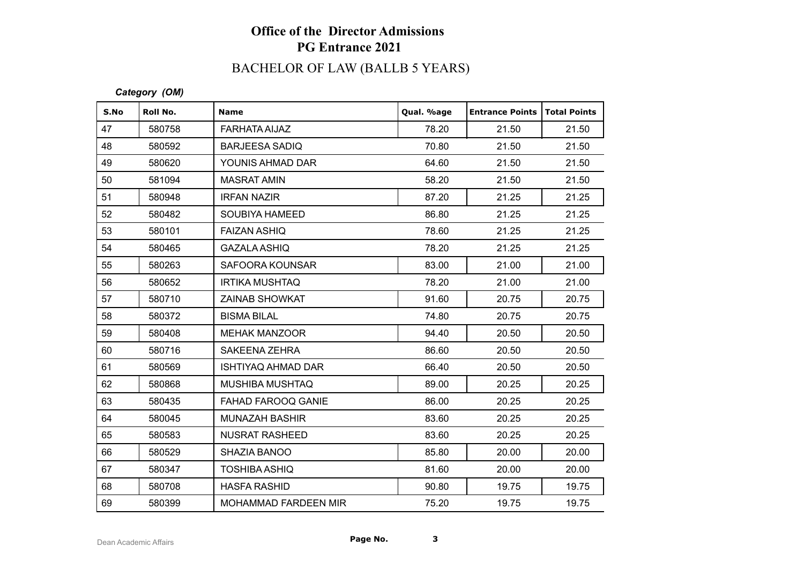# BACHELOR OF LAW (BALLB 5 YEARS)

| S.No | Roll No. | <b>Name</b>                 | Qual. %age | <b>Entrance Points</b> | Total Points |
|------|----------|-----------------------------|------------|------------------------|--------------|
| 47   | 580758   | FARHATA AIJAZ               | 78.20      | 21.50                  | 21.50        |
| 48   | 580592   | <b>BARJEESA SADIQ</b>       | 70.80      | 21.50                  | 21.50        |
| 49   | 580620   | YOUNIS AHMAD DAR            | 64.60      | 21.50                  | 21.50        |
| 50   | 581094   | <b>MASRAT AMIN</b>          | 58.20      | 21.50                  | 21.50        |
| 51   | 580948   | <b>IRFAN NAZIR</b>          | 87.20      | 21.25                  | 21.25        |
| 52   | 580482   | <b>SOUBIYA HAMEED</b>       | 86.80      | 21.25                  | 21.25        |
| 53   | 580101   | <b>FAIZAN ASHIQ</b>         | 78.60      | 21.25                  | 21.25        |
| 54   | 580465   | <b>GAZALA ASHIQ</b>         | 78.20      | 21.25                  | 21.25        |
| 55   | 580263   | SAFOORA KOUNSAR             | 83.00      | 21.00                  | 21.00        |
| 56   | 580652   | <b>IRTIKA MUSHTAQ</b>       | 78.20      | 21.00                  | 21.00        |
| 57   | 580710   | <b>ZAINAB SHOWKAT</b>       | 91.60      | 20.75                  | 20.75        |
| 58   | 580372   | <b>BISMA BILAL</b>          | 74.80      | 20.75                  | 20.75        |
| 59   | 580408   | <b>MEHAK MANZOOR</b>        | 94.40      | 20.50                  | 20.50        |
| 60   | 580716   | SAKEENA ZEHRA               | 86.60      | 20.50                  | 20.50        |
| 61   | 580569   | <b>ISHTIYAQ AHMAD DAR</b>   | 66.40      | 20.50                  | 20.50        |
| 62   | 580868   | <b>MUSHIBA MUSHTAQ</b>      | 89.00      | 20.25                  | 20.25        |
| 63   | 580435   | FAHAD FAROOQ GANIE          | 86.00      | 20.25                  | 20.25        |
| 64   | 580045   | <b>MUNAZAH BASHIR</b>       | 83.60      | 20.25                  | 20.25        |
| 65   | 580583   | <b>NUSRAT RASHEED</b>       | 83.60      | 20.25                  | 20.25        |
| 66   | 580529   | SHAZIA BANOO                | 85.80      | 20.00                  | 20.00        |
| 67   | 580347   | <b>TOSHIBA ASHIQ</b>        | 81.60      | 20.00                  | 20.00        |
| 68   | 580708   | <b>HASFA RASHID</b>         | 90.80      | 19.75                  | 19.75        |
| 69   | 580399   | <b>MOHAMMAD FARDEEN MIR</b> | 75.20      | 19.75                  | 19.75        |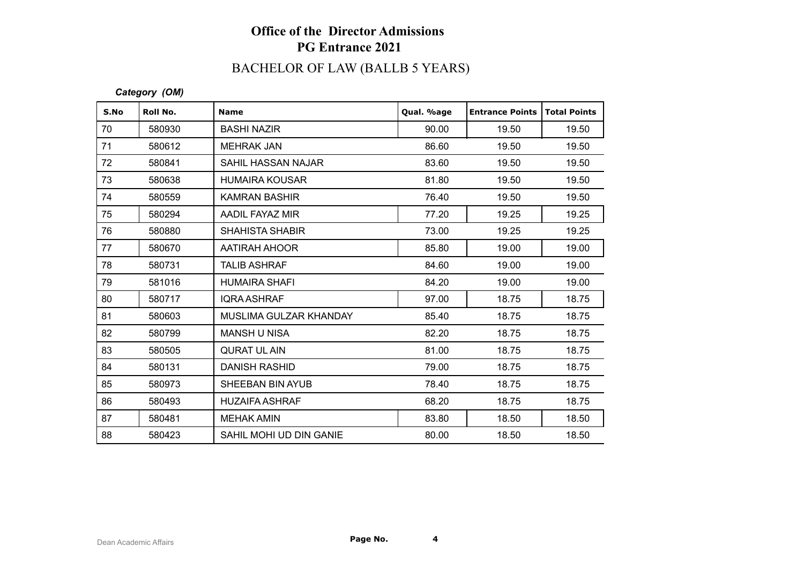# BACHELOR OF LAW (BALLB 5 YEARS)

| S.No | Roll No. | <b>Name</b>               | Qual. %age | <b>Entrance Points</b> | <b>Total Points</b> |
|------|----------|---------------------------|------------|------------------------|---------------------|
| 70   | 580930   | <b>BASHI NAZIR</b>        | 90.00      | 19.50                  | 19.50               |
| 71   | 580612   | <b>MEHRAK JAN</b>         | 86.60      | 19.50                  | 19.50               |
| 72   | 580841   | <b>SAHIL HASSAN NAJAR</b> | 83.60      | 19.50                  | 19.50               |
| 73   | 580638   | <b>HUMAIRA KOUSAR</b>     | 81.80      | 19.50                  | 19.50               |
| 74   | 580559   | <b>KAMRAN BASHIR</b>      | 76.40      | 19.50                  | 19.50               |
| 75   | 580294   | AADIL FAYAZ MIR           | 77.20      | 19.25                  | 19.25               |
| 76   | 580880   | <b>SHAHISTA SHABIR</b>    | 73.00      | 19.25                  | 19.25               |
| 77   | 580670   | AATIRAH AHOOR             | 85.80      | 19.00                  | 19.00               |
| 78   | 580731   | <b>TALIB ASHRAF</b>       | 84.60      | 19.00                  | 19.00               |
| 79   | 581016   | <b>HUMAIRA SHAFI</b>      | 84.20      | 19.00                  | 19.00               |
| 80   | 580717   | <b>IQRA ASHRAF</b>        | 97.00      | 18.75                  | 18.75               |
| 81   | 580603   | MUSLIMA GULZAR KHANDAY    | 85.40      | 18.75                  | 18.75               |
| 82   | 580799   | <b>MANSH U NISA</b>       | 82.20      | 18.75                  | 18.75               |
| 83   | 580505   | <b>QURAT UL AIN</b>       | 81.00      | 18.75                  | 18.75               |
| 84   | 580131   | <b>DANISH RASHID</b>      | 79.00      | 18.75                  | 18.75               |
| 85   | 580973   | SHEEBAN BIN AYUB          | 78.40      | 18.75                  | 18.75               |
| 86   | 580493   | <b>HUZAIFA ASHRAF</b>     | 68.20      | 18.75                  | 18.75               |
| 87   | 580481   | <b>MEHAK AMIN</b>         | 83.80      | 18.50                  | 18.50               |
| 88   | 580423   | SAHIL MOHI UD DIN GANIE   | 80.00      | 18.50                  | 18.50               |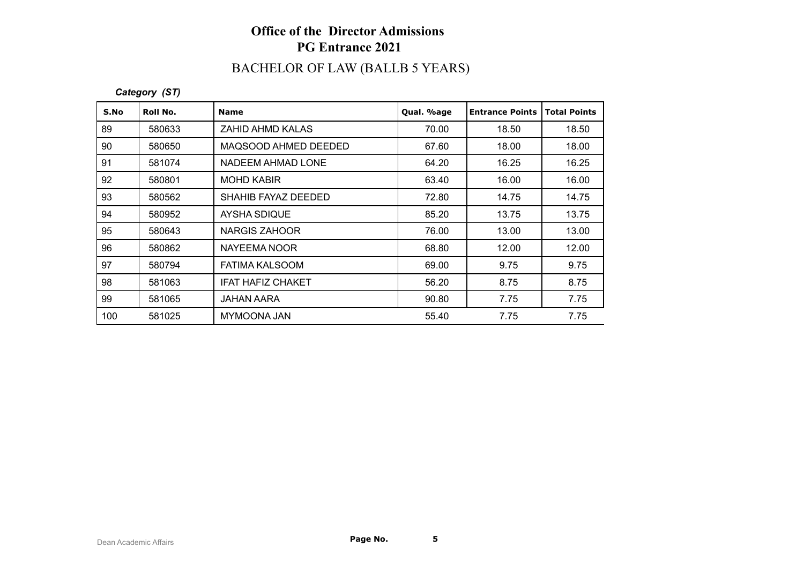# BACHELOR OF LAW (BALLB 5 YEARS)

*Category (ST)*

| S.No | Roll No. | <b>Name</b>           | Qual. %age | <b>Entrance Points</b> | <b>Total Points</b> |
|------|----------|-----------------------|------------|------------------------|---------------------|
| 89   | 580633   | ZAHID AHMD KALAS      | 70.00      | 18.50                  | 18.50               |
| 90   | 580650   | MAQSOOD AHMED DEEDED  | 67.60      | 18.00                  | 18.00               |
| 91   | 581074   | NADEEM AHMAD LONE     | 64.20      | 16.25                  | 16.25               |
| 92   | 580801   | <b>MOHD KABIR</b>     | 63.40      | 16.00                  | 16.00               |
| 93   | 580562   | SHAHIB FAYAZ DEEDED   | 72.80      | 14.75                  | 14.75               |
| 94   | 580952   | AYSHA SDIQUE          | 85.20      | 13.75                  | 13.75               |
| 95   | 580643   | NARGIS ZAHOOR         | 76.00      | 13.00                  | 13.00               |
| 96   | 580862   | NAYEEMA NOOR          | 68.80      | 12.00                  | 12.00               |
| 97   | 580794   | <b>FATIMA KALSOOM</b> | 69.00      | 9.75                   | 9.75                |
| 98   | 581063   | IFAT HAFIZ CHAKET     | 56.20      | 8.75                   | 8.75                |
| 99   | 581065   | <b>JAHAN AARA</b>     | 90.80      | 7.75                   | 7.75                |
| 100  | 581025   | MYMOONA JAN           | 55.40      | 7.75                   | 7.75                |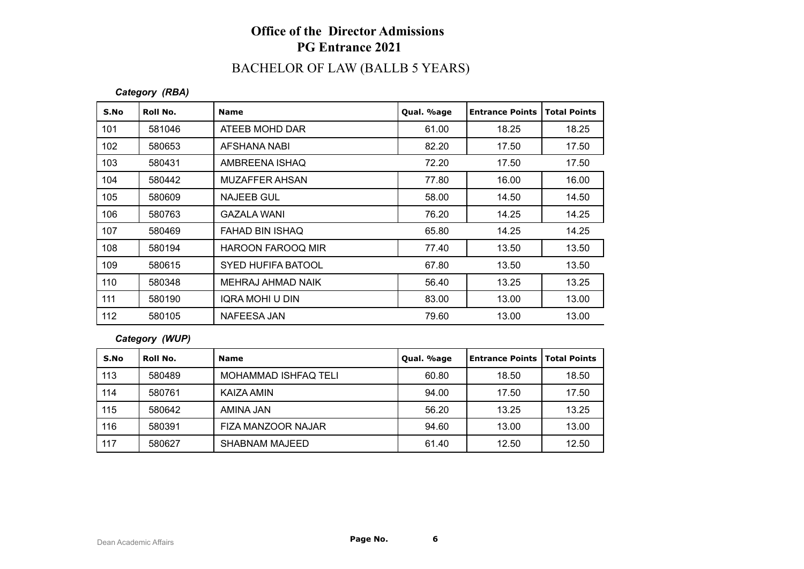# BACHELOR OF LAW (BALLB 5 YEARS)

*Category (RBA)*

| S.No | Roll No. | <b>Name</b>               | Qual. %age | <b>Entrance Points</b> | <b>Total Points</b> |
|------|----------|---------------------------|------------|------------------------|---------------------|
| 101  | 581046   | ATEEB MOHD DAR            | 61.00      | 18.25                  | 18.25               |
| 102  | 580653   | AFSHANA NABI              | 82.20      | 17.50                  | 17.50               |
| 103  | 580431   | AMBREENA ISHAQ            | 72.20      | 17.50                  | 17.50               |
| 104  | 580442   | MUZAFFER AHSAN            | 77.80      | 16.00                  | 16.00               |
| 105  | 580609   | NAJEEB GUL                | 58.00      | 14.50                  | 14.50               |
| 106  | 580763   | <b>GAZALA WANI</b>        | 76.20      | 14.25                  | 14.25               |
| 107  | 580469   | FAHAD BIN ISHAQ           | 65.80      | 14.25                  | 14.25               |
| 108  | 580194   | <b>HAROON FAROOQ MIR</b>  | 77.40      | 13.50                  | 13.50               |
| 109  | 580615   | <b>SYED HUFIFA BATOOL</b> | 67.80      | 13.50                  | 13.50               |
| 110  | 580348   | MEHRAJ AHMAD NAIK         | 56.40      | 13.25                  | 13.25               |
| 111  | 580190   | IQRA MOHI U DIN           | 83.00      | 13.00                  | 13.00               |
| 112  | 580105   | NAFEESA JAN               | 79.60      | 13.00                  | 13.00               |

#### *Category (WUP)*

| S.No | Roll No. | <b>Name</b>                 | Qual. %age | Entrance Points   Total Points |       |
|------|----------|-----------------------------|------------|--------------------------------|-------|
| 113  | 580489   | <b>MOHAMMAD ISHFAQ TELI</b> | 60.80      | 18.50                          | 18.50 |
| 114  | 580761   | KAIZA AMIN                  | 94.00      | 17.50                          | 17.50 |
| 115  | 580642   | AMINA JAN                   | 56.20      | 13.25                          | 13.25 |
| 116  | 580391   | FIZA MANZOOR NAJAR          | 94.60      | 13.00                          | 13.00 |
| 117  | 580627   | <b>SHABNAM MAJEED</b>       | 61.40      | 12.50                          | 12.50 |